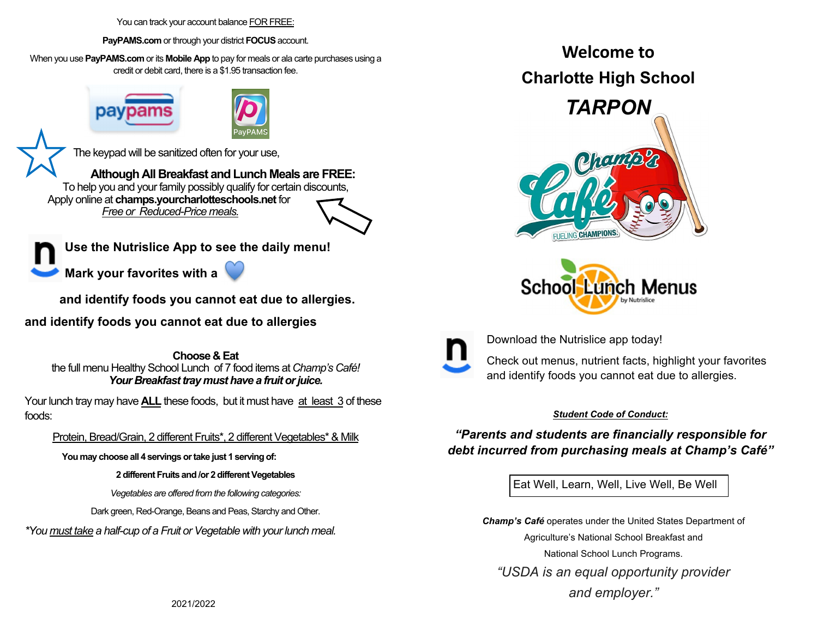You can track your account balance FOR FREE:

**PayPAMS.com** or through your district **FOCUS** account.

When you use **PayPAMS.com** or its **Mobile App** to pay for meals or ala carte purchases using a credit or debit card, there is a \$1.95 transaction fee.



The keypad will be sanitized often for your use,

**Although All Breakfast and Lunch Meals are FREE:**  To help you and your family possibly qualify for certain discounts, Apply online at **champs.yourcharlotteschools.net** for *Free or Reduced-Price meals.*

**Use the Nutrislice App to see the daily menu!** 

**Mark your favorites with a** 



 **and identify foods you cannot eat due to allergies.** 

**and identify foods you cannot eat due to allergies**

**Choose & Eat**the full menu Healthy School Lunch of 7 food items at *Champ's Café! Your Breakfast tray must have a fruit or juice.* 

Your lunch tray may have **ALL** these foods, but it must have at least 3 of these foods:

#### Protein, Bread/Grain, 2 different Fruits\*, 2 different Vegetables\* & Milk

**You may choose all 4 servings or take just 1 serving of:** 

#### **2 different Fruits and /or 2 different Vegetables**

*Vegetables are offered from the following categories:* 

Dark green, Red-Orange, Beans and Peas, Starchy and Other.

*\*You must take a half-cup of a Fruit or Vegetable with your lunch meal.* 

**Welcome to Charlotte High School** 







Download the Nutrislice app today!

Check out menus, nutrient facts, highlight your favorites and identify foods you cannot eat due to allergies.

#### *Student Code of Conduct:*

*"Parents and students are financially responsible for debt incurred from purchasing meals at Champ's Café"*

Eat Well, Learn, Well, Live Well, Be Well

*Champ's Café* operates under the United States Department of Agriculture's National School Breakfast and National School Lunch Programs. *"USDA is an equal opportunity provider and employer."*